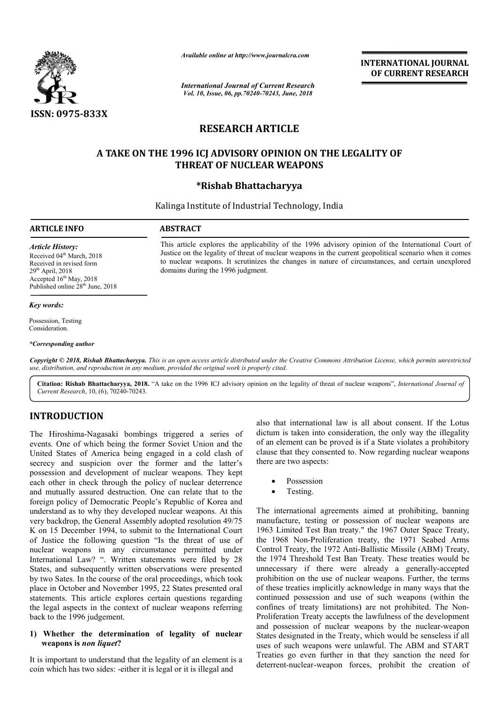

*International Journal of Current Research Vol. 10, Issue, 06, pp.70240-70243, June, 2018*

**INTERNATIONAL JOURNAL OF CURRENT RESEARCH**

# **RESEARCH ARTICLE**

# A TAKE ON THE 1996 ICJ ADVISORY OPINION ON THE LEGALITY OF **THREAT OF NUCLEAR WEAPONS** Available online at http://www.journalcra.com<br> *Available* online at *http://www.journalcra.com*<br> *Yol. 10, Issue, 06, pp.70240-70243, June, 201*<br> **RESEARCH ARTICLE**<br> **HE 1996 ICJ ADVISORY OPINION OF THREAT OF NUCLEAR WEAP**

# **\*Rishab Bhattacharyya**

Kalinga Institute of Industrial Technology, India

### **ARTICLE INFO ABSTRACT**

domains during the 1996 judgment.

*Article History:* Received 04<sup>th</sup> March, 2018 Received in revised form 29th April, 2018 Accepted  $16<sup>th</sup>$  May, 2018 Published online 28<sup>th</sup> June, 2018

### *Key words:*

Possession, Testing Consideration.

### *\*Corresponding author*

Copyright © 2018, Rishab Bhattacharyya. This is an open access article distributed under the Creative Commons Attribution License, which permits unrestricted *use, distribution, and reproduction in any medium, provided the original work is properly cited.*

Citation: Rishab Bhattacharyya, 2018. "A take on the 1996 ICJ advisory opinion on the legality of threat of nuclear weapons", *International Journal of Current Research*, 10, (6), 70240-70243.

# **INTRODUCTION**

The Hiroshima-Nagasaki bombings triggered a series of events. One of which being the former Soviet Union and the United States of America being engaged in a cold clash of secrecy and suspicion over the former and the latter's possession and development of nuclear weapons. They kept each other in check through the policy of nuclear deterrence and mutually assured destruction. One can relate that to the foreign policy of Democratic People's Republic of Korea and understand as to why they developed nuclear weapons. At this very backdrop, the General Assembly adopted resolution 49/75 K on 15 December 1994, to submit to the International Court of Justice the following question "Is the threat of use of nuclear weapons in any circumstance permitted under International Law? ". Written statements were filed by 28 States, and subsequently written observations were presented by two Sates. In the course of the oral proceedings, which took place in October and November 1995, 22 States presented oral statements. This article explores certain questions regarding the legal aspects in the context of nuclear weapons referring back to the 1996 judgement. Nagasaki bombings triggered a series of which being the former Soviet Union and the America being engaged in a cold clash of spicion over the former and the latter's development of nuclear weapons. They kept eck through th **Example 1974**<br> **Example 10**<br> **Example 10**<br> **Example 10**<br> **Example 10**<br> **Example 10**<br> **Example 10**<br> **Example 10**<br> **Example 10**<br> **Example 10**<br> **Example 10**<br> **Example 10**<br> **Example 10**<br> **Example 10**<br> **Example 10**<br> **Example 1** 

### **1) Whether the determination of legality of nuclear weapons is** *non liquet***?**

It is important to understand that the legality of an element is a coin which has two sides: -either it is legal or it is illegal and

dictum is taken into consideration, the only way the illegality of an element can be proved is if a State violates a prohibitory clause that they consented to. Now regarding nuclear weapons there are two aspects: also that international law is all about consent. If the Lotus is taken into consideration, the only way the illegality<br>lement can be proved is if a State violates a prohibitory<br>that they consented to. Now regarding nuclear weapons<br>re two aspects:<br>Possession<br>Testing.<br>leternational agr

Possession

This article explores the applicability of the 1996 advisory opinion of the International Court of Justice on the legality of threat of nuclear weapons in the current geopolitical scenario when it comes to nuclear weapons. It scrutinizes the changes in nature of circumstances, and certain unexpl

This article explores the applicability of the 1996 advisory opinion of the International Court of Justice on the legality of threat of nuclear weapons in the current geopolitical scenario when it comes to nuclear weapons.

Testing.

The international agreements aimed at prohibiting, banning manufacture, testing or possession of nuclear weapons are 1963 Limited Test Ban treaty." the 1967 Outer Space Treaty, the 1968 Non-Proliferation treaty, the 1971 Seabed Arms Control Treaty, the 1972 Anti-Ballistic Missile (ABM) Treaty, the 1974 Threshold Test Ban Treaty. These treaties would be the 1974 Threshold Test Ban Treaty. These treaties would be unnecessary if there were already a generally-accepted prohibition on the use of nuclear weapons. Further, the terms of these treaties implicitly acknowledge in many ways that the continued possession and use of such weapons (within the confines of treaty limitations) are not prohibited. The Non Proliferation Treaty accepts the lawfulness of the development Proliferation Treaty accepts the lawfulness of the development<br>and possession of nuclear weapons by the nuclear-weapon States designated in the Treaty, which would be senseless if all States designated in the Treaty, which would be senseless if all uses of such weapons were unlawful. The ABM and START Treaties go even further in that they sanction the need for deterrent-nuclear-weapon forces, prohibit the creation of use of nuclear weapons. Further, the terms<br>plicitly acknowledge in many ways that the<br>on and use of such weapons (within the<br>limitations) are not prohibited. The Non-INTERNATIONAL JOURNAL<br>
OF CURRENT RESEARCH<br>
OF CURRENT RESEARCH<br>
ON THE LEGALITY OF<br>
DON THE LEGALITY OF<br>
Notare and the corresponding to the International Court come<br>
propose in the carrent geopolitical scenario when it c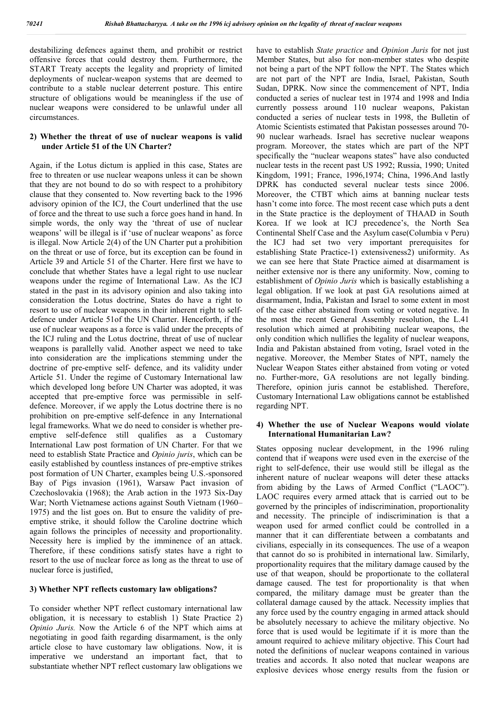destabilizing defences against them, and prohibit or restrict offensive forces that could destroy them. Furthermore, the START Treaty accepts the legality and propriety of limited deployments of nuclear-weapon systems that are deemed to contribute to a stable nuclear deterrent posture. This entire structure of obligations would be meaningless if the use of nuclear weapons were considered to be unlawful under all circumstances.

## **2) Whether the threat of use of nuclear weapons is valid under Article 51 of the UN Charter?**

Again, if the Lotus dictum is applied in this case, States are free to threaten or use nuclear weapons unless it can be shown that they are not bound to do so with respect to a prohibitory clause that they consented to. Now reverting back to the 1996 advisory opinion of the ICJ, the Court underlined that the use of force and the threat to use such a force goes hand in hand. In simple words, the only way the 'threat of use of nuclear weapons' will be illegal is if 'use of nuclear weapons' as force is illegal. Now Article 2(4) of the UN Charter put a prohibition on the threat or use of force, but its exception can be found in Article 39 and Article 51 of the Charter. Here first we have to conclude that whether States have a legal right to use nuclear weapons under the regime of International Law. As the ICJ stated in the past in its advisory opinion and also taking into consideration the Lotus doctrine, States do have a right to resort to use of nuclear weapons in their inherent right to selfdefence under Article 51of the UN Charter. Henceforth, if the use of nuclear weapons as a force is valid under the precepts of the ICJ ruling and the Lotus doctrine, threat of use of nuclear weapons is parallelly valid. Another aspect we need to take into consideration are the implications stemming under the doctrine of pre-emptive self- defence, and its validity under Article 51. Under the regime of Customary International law which developed long before UN Charter was adopted, it was accepted that pre-emptive force was permissible in selfdefence. Moreover, if we apply the Lotus doctrine there is no prohibition on pre-emptive self-defence in any International legal frameworks. What we do need to consider is whether preemptive self-defence still qualifies as a Customary International Law post formation of UN Charter. For that we need to establish State Practice and *Opinio juris*, which can be easily established by countless instances of pre-emptive strikes post formation of UN Charter, examples being U.S.-sponsored Bay of Pigs invasion (1961), Warsaw Pact invasion of Czechoslovakia (1968); the Arab action in the 1973 Six-Day War; North Vietnamese actions against South Vietnam (1960– 1975) and the list goes on. But to ensure the validity of preemptive strike, it should follow the Caroline doctrine which again follows the principles of necessity and proportionality. Necessity here is implied by the imminence of an attack. Therefore, if these conditions satisfy states have a right to resort to the use of nuclear force as long as the threat to use of nuclear force is justified,

### **3) Whether NPT reflects customary law obligations?**

To consider whether NPT reflect customary international law obligation, it is necessary to establish 1) State Practice 2) *Opinio Juris.* Now the Article 6 of the NPT which aims at negotiating in good faith regarding disarmament, is the only article close to have customary law obligations. Now, it is imperative we understand an important fact, that to substantiate whether NPT reflect customary law obligations we

have to establish *State practice* and *Opinion Juris* for not just Member States, but also for non-member states who despite not being a part of the NPT follow the NPT. The States which are not part of the NPT are India, Israel, Pakistan, South Sudan, DPRK. Now since the commencement of NPT, India conducted a series of nuclear test in 1974 and 1998 and India currently possess around 110 nuclear weapons, Pakistan conducted a series of nuclear tests in 1998, the Bulletin of Atomic Scientists estimated that Pakistan possesses around 70- 90 nuclear warheads. Israel has secretive nuclear weapons program. Moreover, the states which are part of the NPT specifically the "nuclear weapons states" have also conducted nuclear tests in the recent past US 1992; Russia, 1990; United Kingdom, 1991; France, 1996,1974; China, 1996.And lastly DPRK has conducted several nuclear tests since 2006. Moreover, the CTBT which aims at banning nuclear tests hasn't come into force. The most recent case which puts a dent in the State practice is the deployment of THAAD in South Korea. If we look at ICJ precedence's, the North Sea Continental Shelf Case and the Asylum case(Columbia v Peru) the ICJ had set two very important prerequisites for establishing State Practice-1) extensiveness2) uniformity. As we can see here that State Practice aimed at disarmament is neither extensive nor is there any uniformity. Now, coming to establishment of *Opinio Juris* which is basically establishing a legal obligation. If we look at past GA resolutions aimed at disarmament, India, Pakistan and Israel to some extent in most of the case either abstained from voting or voted negative. In the most the recent General Assembly resolution, the L.41 resolution which aimed at prohibiting nuclear weapons, the only condition which nullifies the legality of nuclear weapons, India and Pakistan abstained from voting, Israel voted in the negative. Moreover, the Member States of NPT, namely the Nuclear Weapon States either abstained from voting or voted no. Further-more, GA resolutions are not legally binding. Therefore, opinion juris cannot be established. Therefore, Customary International Law obligations cannot be established regarding NPT.

### **4) Whether the use of Nuclear Weapons would violate International Humanitarian Law?**

States opposing nuclear development, in the 1996 ruling contend that if weapons were used even in the exercise of the right to self-defence, their use would still be illegal as the inherent nature of nuclear weapons will deter these attacks from abiding by the Laws of Armed Conflict ("LAOC"). LAOC requires every armed attack that is carried out to be governed by the principles of indiscrimination, proportionality and necessity. The principle of indiscrimination is that a weapon used for armed conflict could be controlled in a manner that it can differentiate between a combatants and civilians, especially in its consequences. The use of a weapon that cannot do so is prohibited in international law. Similarly, proportionality requires that the military damage caused by the use of that weapon, should be proportionate to the collateral damage caused. The test for proportionality is that when compared, the military damage must be greater than the collateral damage caused by the attack. Necessity implies that any force used by the country engaging in armed attack should be absolutely necessary to achieve the military objective. No force that is used would be legitimate if it is more than the amount required to achieve military objective. This Court had noted the definitions of nuclear weapons contained in various treaties and accords. It also noted that nuclear weapons are explosive devices whose energy results from the fusion or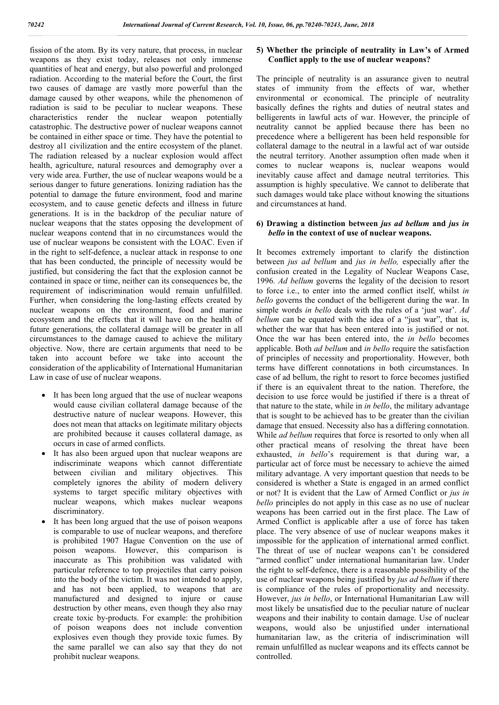fission of the atom. By its very nature, that process, in nuclear weapons as they exist today, releases not only immense quantities of heat and energy, but also powerful and prolonged radiation. According to the material before the Court, the first two causes of damage are vastly more powerful than the damage caused by other weapons, while the phenomenon of radiation is said to be peculiar to nuclear weapons. These characteristics render the nuclear weapon potentially catastrophic. The destructive power of nuclear weapons cannot be contained in either space or time. They have the potential to destroy al1 civilization and the entire ecosystem of the planet. The radiation released by a nuclear explosion would affect health, agriculture, natural resources and demography over a very wide area. Further, the use of nuclear weapons would be a serious danger to future generations. Ionizing radiation has the potential to damage the future environment, food and marine ecosystem, and to cause genetic defects and illness in future generations. It is in the backdrop of the peculiar nature of nuclear weapons that the states opposing the development of nuclear weapons contend that in no circumstances would the use of nuclear weapons be consistent with the LOAC. Even if in the right to self-defence, a nuclear attack in response to one that has been conducted, the principle of necessity would be justified, but considering the fact that the explosion cannot be contained in space or time, neither can its consequences be, the requirement of indiscrimination would remain unfulfilled. Further, when considering the long-lasting effects created by nuclear weapons on the environment, food and marine ecosystem and the effects that it will have on the health of future generations, the collateral damage will be greater in all circumstances to the damage caused to achieve the military objective. Now, there are certain arguments that need to be taken into account before we take into account the consideration of the applicability of International Humanitarian Law in case of use of nuclear weapons.

- It has been long argued that the use of nuclear weapons would cause civilian collateral damage because of the destructive nature of nuclear weapons. However, this does not mean that attacks on legitimate military objects are prohibited because it causes collateral damage, as occurs in case of armed conflicts.
- It has also been argued upon that nuclear weapons are indiscriminate weapons which cannot differentiate between civilian and military objectives. This completely ignores the ability of modern delivery systems to target specific military objectives with nuclear weapons, which makes nuclear weapons discriminatory.
- It has been long argued that the use of poison weapons is comparable to use of nuclear weapons, and therefore is prohibited 1907 Hague Convention on the use of poison weapons. However, this comparison is inaccurate as This prohibition was validated with particular reference to top projectiles that carry poison into the body of the victim. It was not intended to apply, and has not been applied, to weapons that are manufactured and designed to injure or cause destruction by other means, even though they also rnay create toxic by-products. For example: the prohibition of poison weapons does not include convention explosives even though they provide toxic fumes. By the same parallel we can also say that they do not prohibit nuclear weapons.

## **5) Whether the principle of neutrality in Law's of Armed Conflict apply to the use of nuclear weapons?**

The principle of neutrality is an assurance given to neutral states of immunity from the effects of war, whether environmental or economical. The principle of neutrality basically defines the rights and duties of neutral states and belligerents in lawful acts of war. However, the principle of neutrality cannot be applied because there has been no precedence where a belligerent has been held responsible for collateral damage to the neutral in a lawful act of war outside the neutral territory. Another assumption often made when it comes to nuclear weapons is, nuclear weapons would inevitably cause affect and damage neutral territories. This assumption is highly speculative. We cannot to deliberate that such damages would take place without knowing the situations and circumstances at hand.

### **6) Drawing a distinction between** *jus ad bellum* **and** *jus in bello* **in the context of use of nuclear weapons.**

It becomes extremely important to clarify the distinction between *jus ad bellum* and *jus in bello,* especially after the confusion created in the Legality of Nuclear Weapons Case, 1996*. Ad bellum* governs the legality of the decision to resort to force i.e., to enter into the armed conflict itself, whilst *in bello* governs the conduct of the belligerent during the war. In simple words *in bello* deals with the rules of a 'just war'. *Ad bellum* can be equated with the idea of a "just war", that is, whether the war that has been entered into is justified or not. Once the war has been entered into, the *in bello* becomes applicable. Both *ad bellum* and *in bello* require the satisfaction of principles of necessity and proportionality. However, both terms have different connotations in both circumstances. In case of ad bellum, the right to resort to force becomes justified if there is an equivalent threat to the nation. Therefore, the decision to use force would be justified if there is a threat of that nature to the state, while in *in bello*, the military advantage that is sought to be achieved has to be greater than the civilian damage that ensued. Necessity also has a differing connotation. While *ad bellum* requires that force is resorted to only when all other practical means of resolving the threat have been exhausted, *in bello*'s requirement is that during war, a particular act of force must be necessary to achieve the aimed military advantage. A very important question that needs to be considered is whether a State is engaged in an armed conflict or not? It is evident that the Law of Armed Conflict or *jus in bello* principles do not apply in this case as no use of nuclear weapons has been carried out in the first place. The Law of Armed Conflict is applicable after a use of force has taken place. The very absence of use of nuclear weapons makes it impossible for the application of international armed conflict. The threat of use of nuclear weapons can't be considered "armed conflict" under international humanitarian law. Under the right to self-defence, there is a reasonable possibility of the use of nuclear weapons being justified by *jus ad bellum* if there is compliance of the rules of proportionality and necessity. However, *jus in bello*, or International Humanitarian Law will most likely be unsatisfied due to the peculiar nature of nuclear weapons and their inability to contain damage. Use of nuclear weapons, would also be unjustified under international humanitarian law, as the criteria of indiscrimination will remain unfulfilled as nuclear weapons and its effects cannot be controlled.